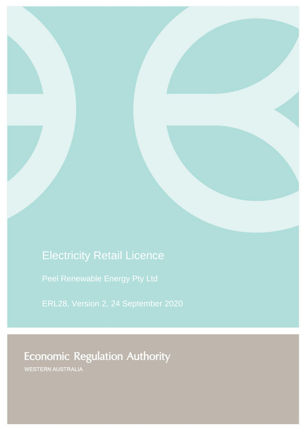# Electricity Retail Licence

[Peel Renewable Energy Pty Ltd](#page-1-0)

[ERL28,](#page-1-1) Version [2,](#page-1-2) 24 September 2020

# **Economic Regulation Authority**

WESTERN AUSTRALIA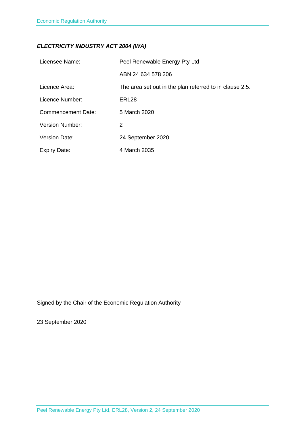### *ELECTRICITY INDUSTRY ACT 2004 (WA)*

<span id="page-1-3"></span><span id="page-1-2"></span><span id="page-1-1"></span><span id="page-1-0"></span>

| Licensee Name:            | Peel Renewable Energy Pty Ltd                           |
|---------------------------|---------------------------------------------------------|
|                           | ABN 24 634 578 206                                      |
| Licence Area:             | The area set out in the plan referred to in clause 2.5. |
| Licence Number:           | ERL28                                                   |
| <b>Commencement Date:</b> | 5 March 2020                                            |
| Version Number:           | 2                                                       |
| <b>Version Date:</b>      | 24 September 2020                                       |
| <b>Expiry Date:</b>       | 4 March 2035                                            |

Signed by the Chair of the Economic Regulation Authority

23 September 2020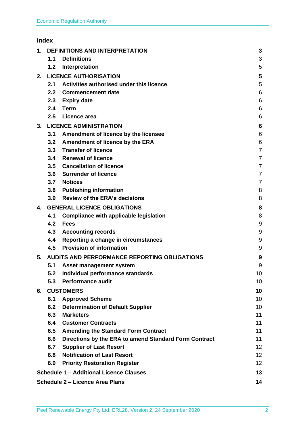## **Index**

| 1. | <b>DEFINITIONS AND INTERPRETATION</b>        |                                                       | 3               |
|----|----------------------------------------------|-------------------------------------------------------|-----------------|
|    | 1.1                                          | <b>Definitions</b>                                    | 3               |
|    | 1.2                                          | Interpretation                                        | 5               |
| 2. | <b>LICENCE AUTHORISATION</b>                 |                                                       | 5               |
|    | 2.1                                          | Activities authorised under this licence              | 5               |
|    | 2.2                                          | <b>Commencement date</b>                              | 6               |
|    | 2.3                                          | <b>Expiry date</b>                                    | 6               |
|    | 2.4                                          | Term                                                  | 6               |
|    | 2.5                                          | Licence area                                          | 6               |
| 3. | <b>LICENCE ADMINISTRATION</b>                |                                                       | 6               |
|    | 3.1                                          | Amendment of licence by the licensee                  | 6               |
|    | 3.2                                          | Amendment of licence by the ERA                       | 6               |
|    | 3.3                                          | <b>Transfer of licence</b>                            | $\overline{7}$  |
|    | 3.4                                          | <b>Renewal of licence</b>                             | $\overline{7}$  |
|    | 3.5                                          | <b>Cancellation of licence</b>                        | $\overline{7}$  |
|    |                                              | 3.6 Surrender of licence                              | $\overline{7}$  |
|    | 3.7                                          | <b>Notices</b>                                        | $\overline{7}$  |
|    | 3.8                                          | <b>Publishing information</b>                         | 8               |
|    | 3.9                                          | <b>Review of the ERA's decisions</b>                  | 8               |
| 4. | <b>GENERAL LICENCE OBLIGATIONS</b>           |                                                       | 8               |
|    | 4.1                                          | <b>Compliance with applicable legislation</b>         | 8               |
|    | 4.2                                          | <b>Fees</b>                                           | 9               |
|    | 4.3                                          | <b>Accounting records</b>                             | 9               |
|    | 4.4                                          | Reporting a change in circumstances                   | 9               |
|    | 4.5                                          | <b>Provision of information</b>                       | 9               |
| 5. | AUDITS AND PERFORMANCE REPORTING OBLIGATIONS |                                                       | 9               |
|    | 5.1                                          | Asset management system                               | 9               |
|    | 5.2                                          | Individual performance standards                      | 10              |
|    | 5.3                                          | <b>Performance audit</b>                              | 10              |
| 6. | <b>CUSTOMERS</b>                             |                                                       | 10              |
|    | 6.1                                          | <b>Approved Scheme</b>                                | 10              |
|    | 6.2                                          | <b>Determination of Default Supplier</b>              | 10              |
|    | 6.3                                          | <b>Marketers</b>                                      | 11              |
|    | 6.4                                          | <b>Customer Contracts</b>                             | 11              |
|    | 6.5                                          | <b>Amending the Standard Form Contract</b>            | 11              |
|    | 6.6                                          | Directions by the ERA to amend Standard Form Contract | 11              |
|    | 6.7                                          | <b>Supplier of Last Resort</b>                        | 12 <sub>2</sub> |
|    | 6.8                                          | <b>Notification of Last Resort</b>                    | 12 <sub>2</sub> |
|    | 6.9                                          | <b>Priority Restoration Register</b>                  | 12 <sup>2</sup> |
|    |                                              | <b>Schedule 1 - Additional Licence Clauses</b>        | 13              |
|    |                                              | <b>Schedule 2 - Licence Area Plans</b>                | 14              |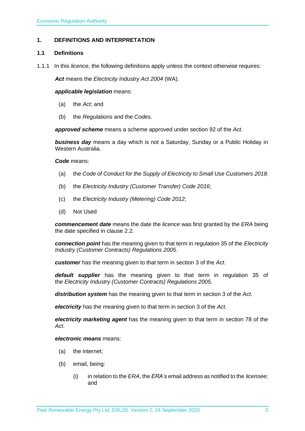#### <span id="page-3-0"></span>**1. DEFINITIONS AND INTERPRETATION**

#### <span id="page-3-1"></span>**1.1 Definitions**

1.1.1 In this *licence*, the following definitions apply unless the context otherwise requires:

*Act* means the *Electricity Industry Act 2004* (WA).

#### *applicable legislation* means:

- (a) the *Act*; and
- (b) the *Regulations* and the *Codes*.

*approved scheme* means a scheme approved under section 92 of the *Act.* 

*business day* means a day which is not a Saturday, Sunday or a Public Holiday in Western Australia.

#### *Code* means:

- (a) the *Code of Conduct for the Supply of Electricity to Small Use Customers 2018*;
- (b) the *Electricity Industry (Customer Transfer) Code 2016*;
- (c) the *Electricity Industry (Metering) Code 2012*;
- (d) Not Used

*commencement date* means the date the *licence* was first granted by the *ERA* being the date specified in clause 2.2.

*connection point* has the meaning given to that term in regulation 35 of the *[Electricity](http://www.slp.wa.gov.au/legislation/statutes.nsf/main_mrtitle_1345_homepage.html)  [Industry \(Customer Contracts\)](http://www.slp.wa.gov.au/legislation/statutes.nsf/main_mrtitle_1345_homepage.html) Regulations 2005*.

*customer* has the meaning given to that term in section 3 of the *Act*.

*default supplier* has the meaning given to that term in regulation 35 of the *Electricity [Industry \(Customer Contracts\) Regulations 2005.](http://www.slp.wa.gov.au/legislation/statutes.nsf/main_mrtitle_1345_homepage.html)*

*distribution system* has the meaning given to that term in section 3 of the *Act*.

*electricity* has the meaning given to that term in section 3 of the *Act*.

*electricity marketing agent* has the meaning given to that term in section 78 of the *Act*.

#### *electronic means* means:

- (a) the internet;
- (b) email, being:
	- (i) in relation to the *ERA*, the *ERA's* email address as notified to the *licensee*; and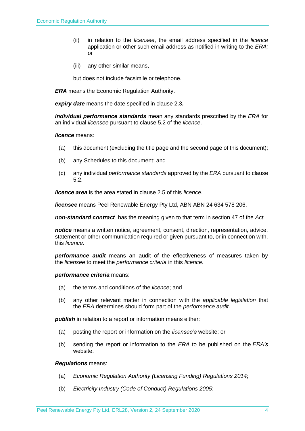- (ii) in relation to the *licensee*, the email address specified in the *licence*  application or other such email address as notified in writing to the *ERA;* or
- (iii) any other similar means,

but does not include facsimile or telephone.

*ERA* means the Economic Regulation Authority.

*expiry date* means the date specified in clause 2.3*.*

*individual performance standards* mean any standards prescribed by the *ERA* for an individual *licensee* pursuant to clause 5.2 of the *licence*.

#### *licence* means:

- (a) this document (excluding the title page and the second page of this document);
- (b) any Schedules to this document; and
- (c) any individual *performance standards* approved by the *ERA* pursuant to clause 5.2.

*licence area* is the area stated in clause 2.5 of this *licence*.

*licensee* means [Peel Renewable Energy Pty Ltd,](#page-1-0) ABN [ABN 24 634 578 206.](#page-1-3)

*non-standard contract* has the meaning given to that term in section 47 of the *Act.* 

*notice* means a written notice, agreement, consent, direction, representation, advice, statement or other communication required or given pursuant to, or in connection with, this *licence*.

*performance audit* means an audit of the effectiveness of measures taken by the *licensee* to meet the *performance criteria* in this *licence*.

#### *performance criteria* means:

- (a) the terms and conditions of the *licence*; and
- (b) any other relevant matter in connection with the *applicable legislation* that the *ERA* determines should form part of the *performance audit*.

**publish** in relation to a report or information means either:

- (a) posting the report or information on the *licensee's* website; or
- (b) sending the report or information to the *ERA* to be published on the *ERA's* website.

#### *Regulations* means:

- (a) *Economic Regulation Authority (Licensing Funding) Regulations 2014*;
- (b) *Electricity Industry (Code of Conduct) Regulations 2005*;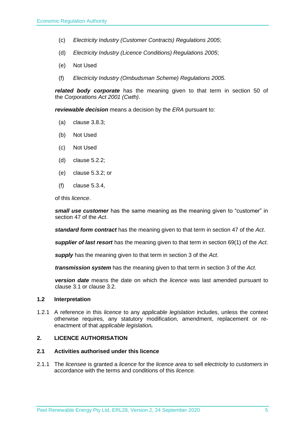- (c) *Electricity Industry (Customer Contracts) Regulations 2005*;
- (d) *Electricity Industry (Licence Conditions) Regulations 2005*;
- (e) Not Used
- (f) *Electricity Industry (Ombudsman Scheme) Regulations 2005.*

*related body corporate* has the meaning given to that term in section 50 of the *Corporations Act 2001 (Cwth)*.

*reviewable decision* means a decision by the *ERA* pursuant to:

- (a) clause 3.8.3;
- (b) Not Used
- (c) Not Used
- (d) clause 5.2.2;
- (e) clause 5.3.2; or
- (f) clause 5.3.4,

of this *licence*.

*small use customer* has the same meaning as the meaning given to "customer" in section 47 of the *Act*.

*standard form contract* has the meaning given to that term in section 47 of the *Act*.

*supplier of last resort* has the meaning given to that term in section 69(1) of the *Act*.

*supply* has the meaning given to that term in section 3 of the *Act*.

*transmission system* has the meaning given to that term in section 3 of the *Act*.

*version date* means the date on which the *licence* was last amended pursuant to clause 3.1 or clause 3.2.

#### <span id="page-5-0"></span>**1.2 Interpretation**

1.2.1 A reference in this *licence* to any *applicable legislation* includes, unless the context otherwise requires, any statutory modification, amendment, replacement or reenactment of that *applicable legislation.*

#### <span id="page-5-1"></span>**2. LICENCE AUTHORISATION**

#### <span id="page-5-2"></span>**2.1 Activities authorised under this licence**

2.1.1 The *licensee* is granted a *licence* for the *licence area* to sell *electricity* to *customers* in accordance with the terms and conditions of this *licence.*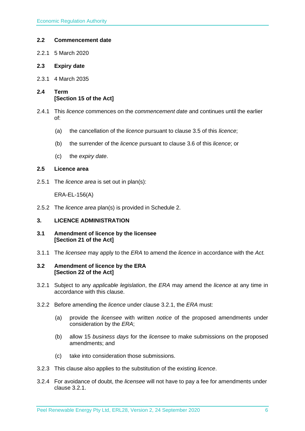#### <span id="page-6-0"></span>**2.2 Commencement date**

- 2.2.1 5 March 2020
- <span id="page-6-1"></span>**2.3 Expiry date**
- 2.3.1 4 March 2035
- <span id="page-6-2"></span>**2.4 Term [Section 15 of the Act]**
- 2.4.1 This *licence* commences on the *commencement date* and continues until the earlier of:
	- (a) the cancellation of the *licence* pursuant to clause 3.5 of this *licence*;
	- (b) the surrender of the *licence* pursuant to clause 3.6 of this *licence*; or
	- (c) the *expiry date*.

#### <span id="page-6-3"></span>**2.5 Licence area**

2.5.1 The *licence area* is set out in plan(s):

ERA-EL-156(A)

2.5.2 The *licence area* plan(s) is provided in Schedule 2.

#### <span id="page-6-4"></span>**3. LICENCE ADMINISTRATION**

- <span id="page-6-5"></span>**3.1 Amendment of licence by the licensee [Section 21 of the Act]**
- 3.1.1 The *licensee* may apply to the *ERA* to amend the *licence* in accordance with the *Act.*

#### <span id="page-6-6"></span>**3.2 Amendment of licence by the ERA [Section 22 of the Act]**

- 3.2.1 Subject to any *applicable legislation*, the *ERA* may amend the *licence* at any time in accordance with this clause.
- 3.2.2 Before amending the *licence* under clause 3.2.1, the *ERA* must:
	- (a) provide the *licensee* with written *notice* of the proposed amendments under consideration by the *ERA*;
	- (b) allow 15 *business days* for the *licensee* to make submissions on the proposed amendments; and
	- (c) take into consideration those submissions.
- 3.2.3 This clause also applies to the substitution of the existing *licence*.
- 3.2.4 For avoidance of doubt, the *licensee* will not have to pay a fee for amendments under clause 3.2.1.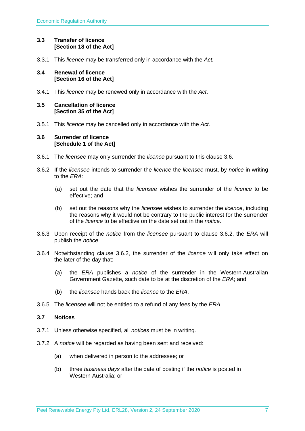#### <span id="page-7-0"></span>**3.3 Transfer of licence [Section 18 of the Act]**

3.3.1 This *licence* may be transferred only in accordance with the *Act.*

#### <span id="page-7-1"></span>**3.4 Renewal of licence [Section 16 of the Act]**

3.4.1 This *licence* may be renewed only in accordance with the *Act*.

#### <span id="page-7-2"></span>**3.5 Cancellation of licence [Section 35 of the Act]**

3.5.1 This *licence* may be cancelled only in accordance with the *Act*.

#### <span id="page-7-3"></span>**3.6 Surrender of licence [Schedule 1 of the Act]**

- 3.6.1 The *licensee* may only surrender the *licence* pursuant to this clause 3.6.
- 3.6.2 If the *licensee* intends to surrender the *licence* the *licensee* must, by *notice* in writing to the *ERA*:
	- (a) set out the date that the *licensee* wishes the surrender of the *licence* to be effective; and
	- (b) set out the reasons why the *licensee* wishes to surrender the *licence*, including the reasons why it would not be contrary to the public interest for the surrender of the *licence* to be effective on the date set out in the *notice*.
- 3.6.3 Upon receipt of the *notice* from the *licensee* pursuant to clause 3.6.2, the *ERA* will publish the *notice*.
- 3.6.4 Notwithstanding clause 3.6.2, the surrender of the *licence* will only take effect on the later of the day that:
	- (a) the *ERA* publishes a *notice* of the surrender in the Western Australian Government Gazette, such date to be at the discretion of the *ERA*; and
	- (b) the *licensee* hands back the *licence* to the *ERA*.
- 3.6.5 The *licensee* will not be entitled to a refund of any fees by the *ERA*.

#### <span id="page-7-4"></span>**3.7 Notices**

- 3.7.1 Unless otherwise specified, all *notices* must be in writing.
- 3.7.2 A *notice* will be regarded as having been sent and received:
	- (a) when delivered in person to the addressee; or
	- (b) three *business days* after the date of posting if the *notice* is posted in Western Australia; or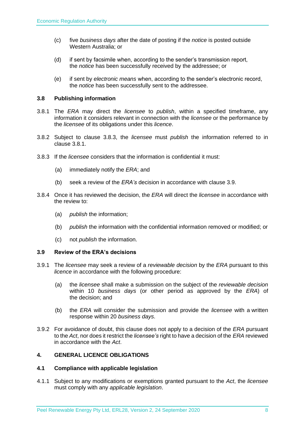- (c) five *business days* after the date of posting if the *notice* is posted outside Western Australia; or
- (d) if sent by facsimile when, according to the sender's transmission report, the *notice* has been successfully received by the addressee; or
- (e) if sent by *electronic means* when, according to the sender's electronic record, the *notice* has been successfully sent to the addressee.

#### <span id="page-8-0"></span>**3.8 Publishing information**

- 3.8.1 The *ERA* may direct the *licensee* to *publish*, within a specified timeframe, any information it considers relevant in connection with the *licensee* or the performance by the *licensee* of its obligations under this *licence*.
- 3.8.2 Subject to clause 3.8.3, the *licensee* must *publish* the information referred to in clause 3.8.1.
- 3.8.3 If the *licensee* considers that the information is confidential it must:
	- (a) immediately notify the *ERA*; and
	- (b) seek a review of the *ERA's* decision in accordance with clause 3.9.
- 3.8.4 Once it has reviewed the decision, the *ERA* will direct the *licensee* in accordance with the review to:
	- (a) *publish* the information;
	- (b) *publish* the information with the confidential information removed or modified; or
	- (c) not *publish* the information.

#### <span id="page-8-1"></span>**3.9 Review of the ERA's decisions**

- 3.9.1 The *licensee* may seek a review of a *reviewable decision* by the *ERA* pursuant to this *licence* in accordance with the following procedure:
	- (a) the *licensee* shall make a submission on the subject of the *reviewable decision* within 10 *business days* (or other period as approved by the *ERA*) of the decision; and
	- (b) the *ERA* will consider the submission and provide the *licensee* with a written response within 20 *business days*.
- 3.9.2 For avoidance of doubt, this clause does not apply to a decision of the *ERA* pursuant to the *Act*, nor does it restrict the *licensee's* right to have a decision of the *ERA* reviewed in accordance with the *Act*.

#### <span id="page-8-2"></span>**4. GENERAL LICENCE OBLIGATIONS**

#### <span id="page-8-3"></span>**4.1 Compliance with applicable legislation**

4.1.1 Subject to any modifications or exemptions granted pursuant to the *Act*, the *licensee* must comply with any *applicable legislation*.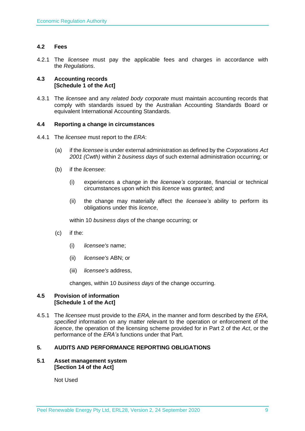#### <span id="page-9-0"></span>**4.2 Fees**

4.2.1 The *licensee* must pay the applicable fees and charges in accordance with the *Regulations*.

#### <span id="page-9-1"></span>**4.3 Accounting records [Schedule 1 of the Act]**

4.3.1 The *licensee* and any *related body corporate* must maintain accounting records that comply with standards issued by the Australian Accounting Standards Board or equivalent International Accounting Standards.

#### <span id="page-9-2"></span>**4.4 Reporting a change in circumstances**

- 4.4.1 The *licensee* must report to the *ERA*:
	- (a) if the *licensee* is under external administration as defined by the *Corporations Act 2001 (Cwth)* within 2 *business days* of such external administration occurring; or
	- (b) if the *licensee*:
		- (i) experiences a change in the *licensee's* corporate, financial or technical circumstances upon which this *licence* was granted; and
		- (ii) the change may materially affect the *licensee's* ability to perform its obligations under this *licence*,

within 10 *business days* of the change occurring; or

- (c) if the:
	- (i) *licensee's* name;
	- (ii) *licensee's* ABN; or
	- (iii) *licensee's* address,

changes, within 10 *business days* of the change occurring.

#### <span id="page-9-3"></span>**4.5 Provision of information [Schedule 1 of the Act]**

4.5.1 The *licensee* must provide to the *ERA,* in the manner and form described by the *ERA, specified* information on any matter relevant to the operation or enforcement of the *licence*, the operation of the licensing scheme provided for in Part 2 of the *Act*, or the performance of the *ERA's* functions under that Part.

#### <span id="page-9-4"></span>**5. AUDITS AND PERFORMANCE REPORTING OBLIGATIONS**

#### <span id="page-9-5"></span>**5.1 Asset management system [Section 14 of the Act]**

Not Used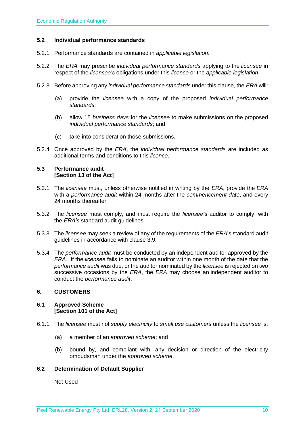#### <span id="page-10-0"></span>**5.2 Individual performance standards**

- 5.2.1 Performance standards are contained in *applicable legislation*.
- 5.2.2 The *ERA* may prescribe *individual performance standards* applying to the *licensee* in respect of the *licensee's* obligations under this *licence* or the *applicable legislation*.
- 5.2.3 Before approving any *individual performance standards* under this clause, the *ERA* will:
	- (a) provide the *licensee* with a copy of the proposed *individual performance standards*;
	- (b) allow 15 *business days* for the *licensee* to make submissions on the proposed *individual performance standards*; and
	- (c) take into consideration those submissions.
- 5.2.4 Once approved by the *ERA*, the *individual performance standards* are included as additional terms and conditions to this *licence*.

#### <span id="page-10-1"></span>**5.3 Performance audit [Section 13 of the Act]**

- 5.3.1 The *licensee* must, unless otherwise notified in writing by the *ERA*, provide the *ERA* with a *performance audit* within 24 months after the *commencement date*, and every 24 months thereafter.
- 5.3.2 The *licensee* must comply, and must require the *licensee's* auditor to comply, with the *ERA's* standard audit guidelines.
- 5.3.3 The *licensee* may seek a review of any of the requirements of the *ERA*'s standard audit guidelines in accordance with clause 3.9.
- 5.3.4 The *performance audit* must be conducted by an independent auditor approved by the *ERA*. If the *licensee* fails to nominate an auditor within one month of the date that the *performance audit* was due, or the auditor nominated by the *licensee* is rejected on two successive occasions by the *ERA*, the *ERA* may choose an independent auditor to conduct the *performance audit*.

#### <span id="page-10-2"></span>**6. CUSTOMERS**

#### <span id="page-10-3"></span>**6.1 Approved Scheme [Section 101 of the Act]**

- 6.1.1 The *licensee* must not *supply electricity* to *small use customers* unless the *licensee* is:
	- (a) a member of an *approved scheme*; and
	- (b) bound by, and compliant with, any decision or direction of the electricity ombudsman under the *approved scheme*.

#### <span id="page-10-4"></span>**6.2 Determination of Default Supplier**

Not Used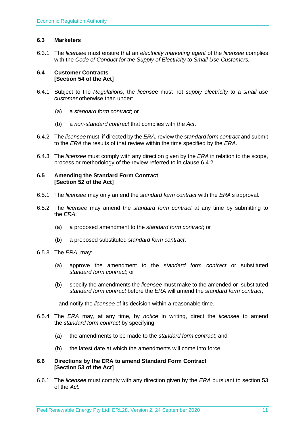#### <span id="page-11-0"></span>**6.3 Marketers**

6.3.1 The *licensee* must ensure that an *electricity marketing agent* of the *licensee* complies with the *Code of Conduct for the Supply of Electricity to Small Use Customers.*

#### <span id="page-11-1"></span>**6.4 Customer Contracts [Section 54 of the Act]**

- 6.4.1 Subject to the *Regulations*, the *license*e must not *supply electricity* to a *small use customer* otherwise than under:
	- (a) a *standard form contract*; or
	- (b) a *non-standard contract* that complies with the *Act*.
- 6.4.2 The *licensee* must, if directed by the *ERA*, review the *standard form contract* and submit to the *ERA* the results of that review within the time specified by the *ERA*.
- 6.4.3 The *licensee* must comply with any direction given by the *ERA* in relation to the scope, process or methodology of the review referred to in clause 6.4.2.

#### <span id="page-11-2"></span>**6.5 Amending the Standard Form Contract [Section 52 of the Act]**

- 6.5.1 The *licensee* may only amend the *standard form contract* with the *ERA'*s approval.
- 6.5.2 The *licensee* may amend the *standard form contract* at any time by submitting to the *ERA*:
	- (a) a proposed amendment to the *standard form contract*; or
	- (b) a proposed substituted *standard form contract*.
- 6.5.3 The *ERA* may:
	- (a) approve the amendment to the *standard form contract* or substituted *standard form contract*; or
	- (b) specify the amendments the *licensee* must make to the amended or substituted *standard form contract* before the *ERA* will amend the *standard form contract*,

and notify the *licensee* of its decision within a reasonable time.

- 6.5.4 The *ERA* may, at any time, by *notice* in writing, direct the *licensee* to amend the *standard form contract* by specifying:
	- (a) the amendments to be made to the *standard form contract*; and
	- (b) the latest date at which the amendments will come into force.

#### <span id="page-11-3"></span>**6.6 Directions by the ERA to amend Standard Form Contract [Section 53 of the Act]**

6.6.1 The *licensee* must comply with any direction given by the *ERA* pursuant to section 53 of the *Act.*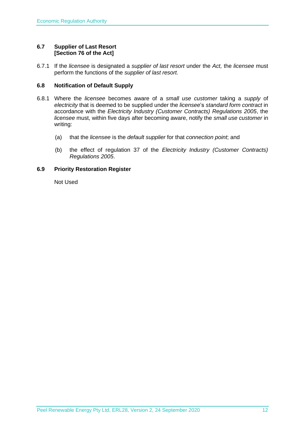#### <span id="page-12-0"></span>**6.7 Supplier of Last Resort [Section 76 of the Act]**

6.7.1 If the *licensee* is designated a *supplier of last resort* under the *Act,* the *licensee* must perform the functions of the *supplier of last resort.* 

#### <span id="page-12-1"></span>**6.8 Notification of Default Supply**

- 6.8.1 Where the *licensee* becomes aware of a *small use customer* taking a *supply* of *electricity* that is deemed to be supplied under the *licensee*'s *standard form contract* in accordance with the *[Electricity Industry \(Customer Contracts\) Regulations 2005](http://www.slp.wa.gov.au/legislation/statutes.nsf/main_mrtitle_1345_homepage.html)*, the *licensee* must, within five days after becoming aware, notify the *small use customer* in writing:
	- (a) that the *licensee* is the *default supplier* for that *connection point*; and
	- (b) the effect of regulation 37 of the *[Electricity Industry \(Customer Contracts\)](http://www.slp.wa.gov.au/legislation/statutes.nsf/main_mrtitle_1345_homepage.html)  [Regulations 2005](http://www.slp.wa.gov.au/legislation/statutes.nsf/main_mrtitle_1345_homepage.html)*.

#### <span id="page-12-2"></span>**6.9 Priority Restoration Register**

Not Used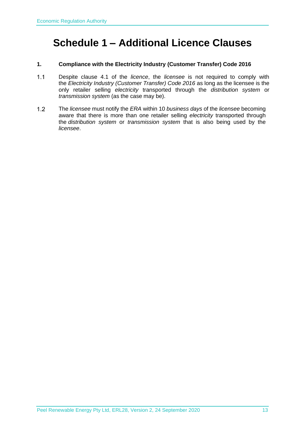## <span id="page-13-0"></span>**Schedule 1 – Additional Licence Clauses**

#### **1. Compliance with the Electricity Industry (Customer Transfer) Code 2016**

- $1.1$ Despite clause 4.1 of the *licence*, the *licensee* is not required to comply with the *Electricity Industry (Customer Transfer) Code 2016* as long as the licensee is the only retailer selling *electricity* transported through the *distribution system* or *transmission system* (as the case may be).
- $1.2$ The *licensee* must notify the *ERA* within 10 *business days* of the *licensee* becoming aware that there is more than one retailer selling *electricity* transported through the *distribution system* or *transmission system* that is also being used by the *licensee*.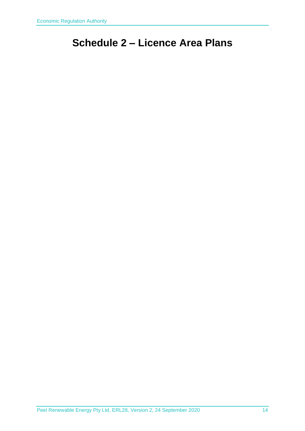# <span id="page-14-0"></span>**Schedule 2 – Licence Area Plans**